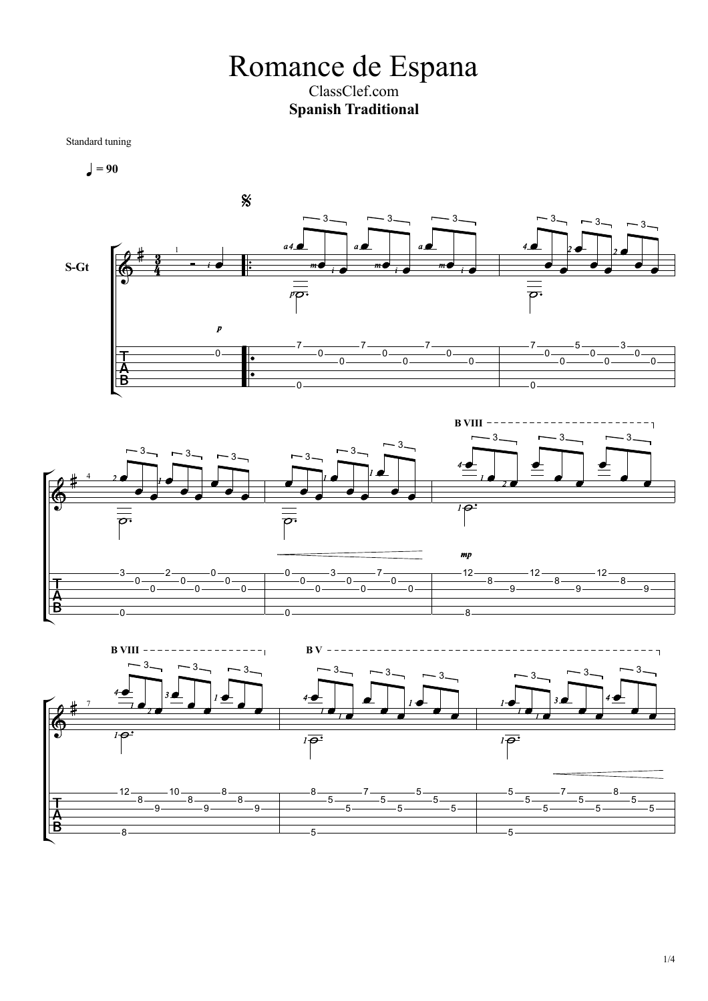## Romance de Espana ClassClef.com **Spanish Traditional**

Standard tuning

$$
\bullet = 90
$$





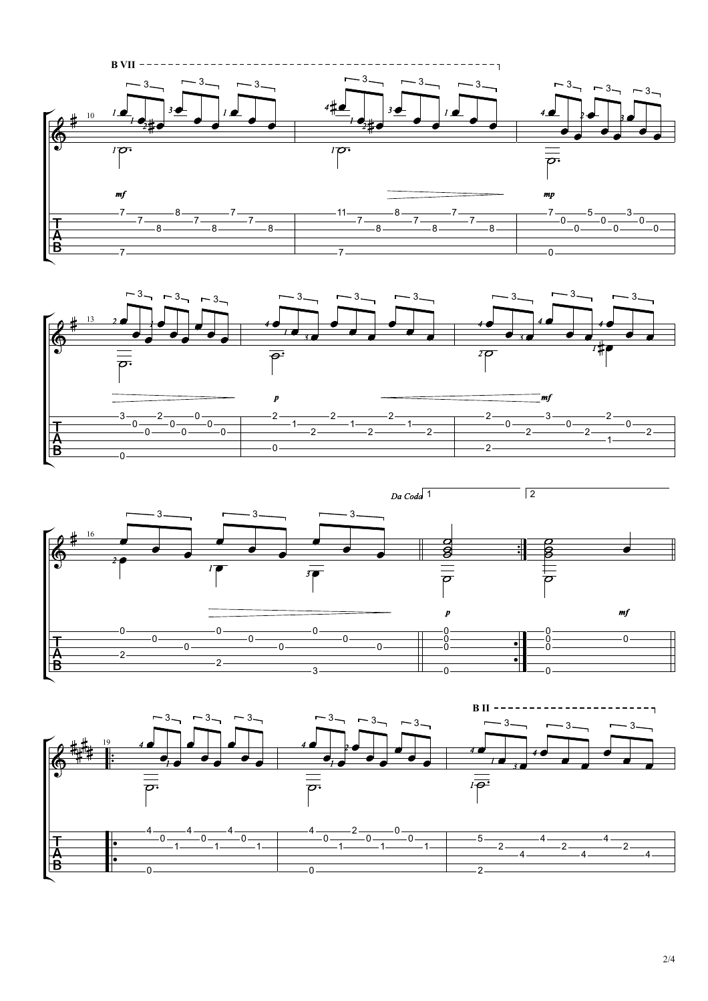





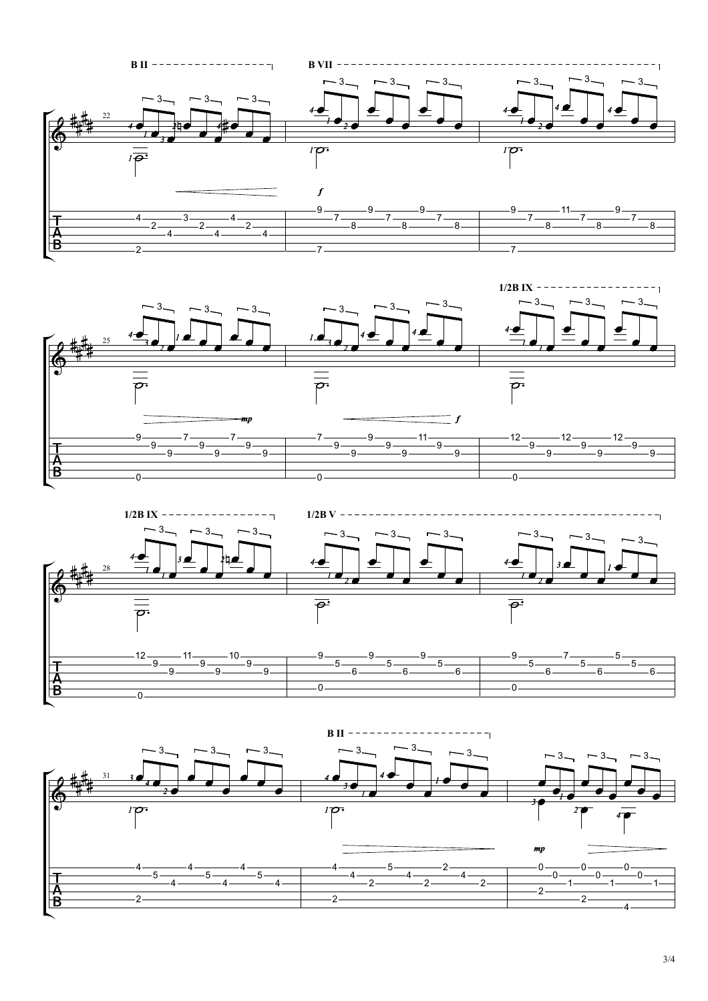